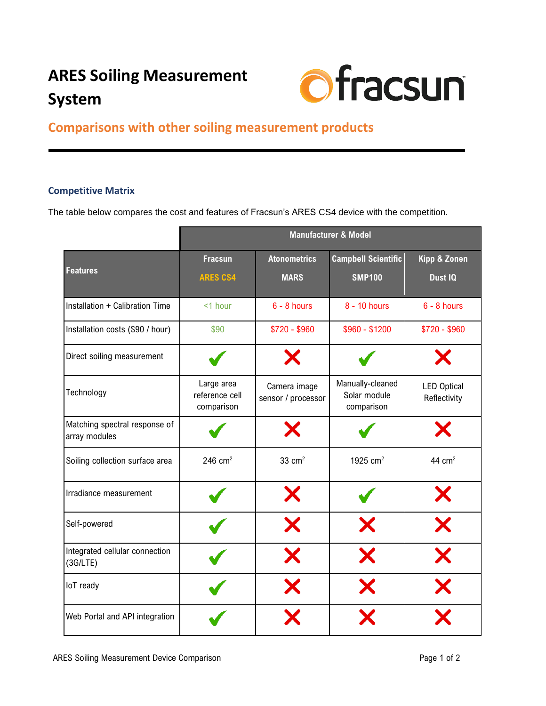## **ARES Soiling Measurement System**



## **Comparisons with other soiling measurement products**

## **Competitive Matrix**

The table below compares the cost and features of Fracsun's ARES CS4 device with the competition.

|                                                | <b>Manufacturer &amp; Model</b>            |                                    |                                                |                                    |  |
|------------------------------------------------|--------------------------------------------|------------------------------------|------------------------------------------------|------------------------------------|--|
|                                                | <b>Fracsun</b>                             | <b>Atonometrics</b>                | <b>Campbell Scientific</b>                     | <b>Kipp &amp; Zonen</b>            |  |
| <b>Features</b>                                | <b>ARES CS4</b>                            | <b>MARS</b>                        | <b>SMP100</b>                                  | Dust IQ                            |  |
| Installation + Calibration Time                | <1 hour                                    | $6 - 8$ hours                      | 8 - 10 hours                                   | $6 - 8$ hours                      |  |
| Installation costs (\$90 / hour)               | \$90                                       | $$720 - $960$                      | $$960 - $1200$                                 | $$720 - $960$                      |  |
| Direct soiling measurement                     |                                            |                                    |                                                |                                    |  |
| Technology                                     | Large area<br>reference cell<br>comparison | Camera image<br>sensor / processor | Manually-cleaned<br>Solar module<br>comparison | <b>LED Optical</b><br>Reflectivity |  |
| Matching spectral response of<br>array modules |                                            |                                    |                                                |                                    |  |
| Soiling collection surface area                | 246 $cm2$                                  | $33 \text{ cm}^2$                  | 1925 $cm2$                                     | 44 $cm2$                           |  |
| Irradiance measurement                         |                                            |                                    |                                                | X                                  |  |
| Self-powered                                   |                                            | X                                  | X                                              | X                                  |  |
| Integrated cellular connection<br>(3G/LTE)     |                                            | Х                                  | X                                              |                                    |  |
| loT ready                                      |                                            |                                    |                                                |                                    |  |
| Web Portal and API integration                 |                                            |                                    |                                                |                                    |  |